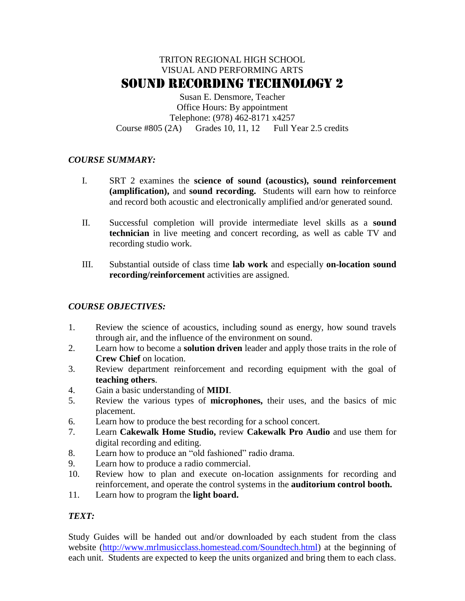# TRITON REGIONAL HIGH SCHOOL VISUAL AND PERFORMING ARTS SOUND RECORDING TECHNOLOGY 2

Susan E. Densmore, Teacher Office Hours: By appointment Telephone: (978) 462-8171 x4257 Course  $\#805(2A)$  Grades 10, 11, 12 Full Year 2.5 credits

### *COURSE SUMMARY:*

- I. SRT 2 examines the **science of sound (acoustics), sound reinforcement (amplification),** and **sound recording.** Students will earn how to reinforce and record both acoustic and electronically amplified and/or generated sound.
- II. Successful completion will provide intermediate level skills as a **sound technician** in live meeting and concert recording, as well as cable TV and recording studio work.
- III. Substantial outside of class time **lab work** and especially **on-location sound recording/reinforcement** activities are assigned.

### *COURSE OBJECTIVES:*

- 1. Review the science of acoustics, including sound as energy, how sound travels through air, and the influence of the environment on sound.
- 2. Learn how to become a **solution driven** leader and apply those traits in the role of **Crew Chief** on location.
- 3. Review department reinforcement and recording equipment with the goal of **teaching others**.
- 4. Gain a basic understanding of **MIDI**.
- 5. Review the various types of **microphones,** their uses, and the basics of mic placement.
- 6. Learn how to produce the best recording for a school concert.
- 7. Learn **Cakewalk Home Studio,** review **Cakewalk Pro Audio** and use them for digital recording and editing.
- 8. Learn how to produce an "old fashioned" radio drama.
- 9. Learn how to produce a radio commercial.
- 10. Review how to plan and execute on-location assignments for recording and reinforcement, and operate the control systems in the **auditorium control booth.**
- 11. Learn how to program the **light board.**

### *TEXT:*

Study Guides will be handed out and/or downloaded by each student from the class website [\(http://www.mrlmusicclass.homestead.com/Soundtech.html\)](http://www.mrlmusicclass.homestead.com/Soundtech.html) at the beginning of each unit. Students are expected to keep the units organized and bring them to each class.